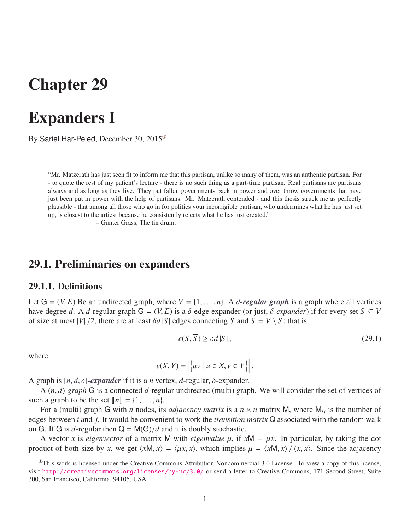# Chapter 29

# Expanders I

By Sariel Har-Peled, December 30, 2015[①](#page-0-0)

"Mr. Matzerath has just seen fit to inform me that this partisan, unlike so many of them, was an authentic partisan. For - to quote the rest of my patient's lecture - there is no such thing as a part-time partisan. Real partisans are partisans always and as long as they live. They put fallen governments back in power and over throw governments that have just been put in power with the help of partisans. Mr. Matzerath contended - and this thesis struck me as perfectly plausible - that among all those who go in for politics your incorrigible partisan, who undermines what he has just set up, is closest to the artiest because he consistently rejects what he has just created."

– Gunter Grass, The tin drum.

### 29.1. Preliminaries on expanders

#### 29.1.1. Definitions

Let  $G = (V, E)$  Be an undirected graph, where  $V = \{1, \ldots, n\}$ . A *d*-regular graph is a graph where all vertices have degree *d*. A *d*-regular graph  $G = (V, E)$  is a  $\delta$ -edge expander (or just,  $\delta$ -expander) if for every set  $S \subseteq V$ of size at most  $|V|/2$ , there are at least  $\delta d |S|$  edges connecting *S* and  $\overline{S} = V \setminus S$ ; that is

<span id="page-0-1"></span>
$$
e(S,\overline{S}) \ge \delta d |S|, \tag{29.1}
$$

where

$$
e(X, Y) = \left| \{ uv \mid u \in X, v \in Y \} \right|.
$$

A graph is [*n*, *<sup>d</sup>*, δ]*-expander* if it is a *<sup>n</sup>* vertex, *<sup>d</sup>*-regular, δ-expander.

A (*n*, *<sup>d</sup>*)*-graph* <sup>G</sup> is a connected *<sup>d</sup>*-regular undirected (multi) graph. We will consider the set of vertices of such a graph to be the set  $[[n]] = \{1, \ldots, n\}.$ 

For a (multi) graph G with *n* nodes, its *adjacency matrix* is a  $n \times n$  matrix M, where  $M_{ij}$  is the number of edges between *i* and *j*. It would be convenient to work the *transition matrix* Q associated with the random walk on G. If G is  $d$ -regular then  $Q = M(G)/d$  and it is doubly stochastic.

A vector *x* is *eigenvector* of a matrix M with *eigenvalue*  $\mu$ , if  $xM = \mu x$ . In particular, by taking the dot product of both size by *x*, we get  $\langle xM, x \rangle = \langle \mu x, x \rangle$ , which implies  $\mu = \langle xM, x \rangle / \langle x, x \rangle$ . Since the adjacency

<span id="page-0-0"></span> $^{\circ}$ This work is licensed under the Creative Commons Attribution-Noncommercial 3.0 License. To view a copy of this license, visit <http://creativecommons.org/licenses/by-nc/3.0/> or send a letter to Creative Commons, 171 Second Street, Suite 300, San Francisco, California, 94105, USA.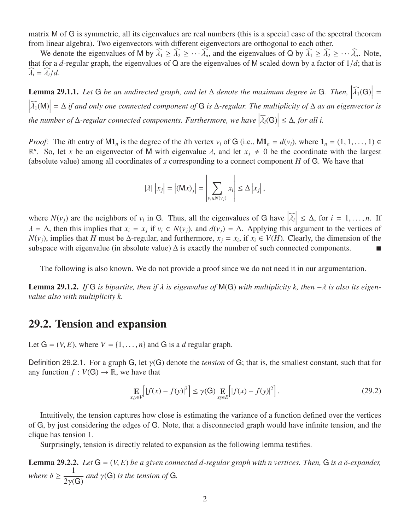matrix M of G is symmetric, all its eigenvalues are real numbers (this is a special case of the spectral theorem from linear algebra). Two eigenvectors with different eigenvectors are orthogonal to each other.

We denote the eigenvalues of M by  $\widehat{\lambda}_1 \ge \widehat{\lambda}_2 \ge \cdots \widehat{\lambda}_n$ , and the eigenvalues of Q by  $\widehat{\lambda}_1 \ge \widehat{\lambda}_2 \ge \cdots \widehat{\lambda}_n$ . Note, that for a *d*-regular graph, the eigenvalues of Q are the eigenvalues of M scaled down by a factor of  $1/d$ ; that is  $\lambda_i = \lambda_i/d$ .

**Lemma 29.1.1.** Let G be an undirected graph, and let  $\Delta$  denote the maximum degree in G. Then,  $\left|\widehat{\lambda_1}(G)\right| =$     λb<sup>1</sup>(M)    = ∆ *if and only one connected component of* G *is* ∆*-regular. The multiplicity of* ∆ *as an eigenvector is*  $\begin{bmatrix} 1 & 1 \\ 1 & 1 \end{bmatrix}$ *the number of*  $\Delta$ -regular connected components. Furthermore, we have  $|\widehat{\lambda_i}(G)|$ ≤ ∆*, for all i.*

*Proof:* The *i*th entry of M1<sub>*n*</sub> is the degree of the *i*th vertex  $v_i$  of G (i.e., M1<sub>*n*</sub> =  $d(v_i)$ , where  $1_n = (1, 1, \ldots, 1) \in$  $\mathbb{R}^n$ . So, let *x* be an eigenvector of M with eigenvalue *λ*, and let *x<sub>j</sub>*  $\neq$  0 be the coordinate with the largest (absolute value) among all coordinates of *x* corresponding to a connect component *H* of G. We have that

$$
|\lambda| |x_j| = |(Mx)_j| = \left| \sum_{v_i \in N(v_j)} x_i \right| \leq \Delta |x_j|,
$$

where  $N(v_j)$  are the neighbors of  $v_i$  in G. Thus, all the eigenvalues of G have  $|\hat{\lambda}_i|$  $\lambda = \Delta$ , then this implies that  $x_i = x_j$  if  $v_i \in N(v_j)$ , and  $d(v_j) = \Delta$ . Applying this argument to the vertices of  $N(v_j)$ , implies that *H* must be  $\Delta$ -regular, and furthermore,  $x_i = x_j$  if  $x_j \in V(H)$ . Clearly, the dimension  $\leq \Delta$ , for  $i = 1, \ldots, n$ . If *N*( $v_j$ ), implies that *H* must be ∆-regular, and furthermore,  $x_j = x_i$ , if  $x_i \in V(H)$ . Clearly, the dimension of the subspace with eigenvalue (in absolute value)  $\Delta$  is exactly the number of such connected components.

The following is also known. We do not provide a proof since we do not need it in our argumentation.

Lemma 29.1.2. *If* <sup>G</sup> *is bipartite, then if* λ *is eigenvalue of* <sup>M</sup>(G) *with multiplicity k, then* <sup>−</sup>λ *is also its eigenvalue also with multiplicity k.*

### 29.2. Tension and expansion

Let  $G = (V, E)$ , where  $V = \{1, \ldots, n\}$  and G is a *d* regular graph.

Definition 29.2.1. For a graph <sup>G</sup>, let γ(G) denote the *tension* of <sup>G</sup>; that is, the smallest constant, such that for any function  $f: V(G) \to \mathbb{R}$ , we have that

<span id="page-1-0"></span>
$$
\mathop{\mathbf{E}}_{x,y \in V} \Big[ |f(x) - f(y)|^2 \Big] \le \gamma(\mathsf{G}) \mathop{\mathbf{E}}_{x \in E} \Big[ |f(x) - f(y)|^2 \Big]. \tag{29.2}
$$

Intuitively, the tension captures how close is estimating the variance of a function defined over the vertices of G, by just considering the edges of G. Note, that a disconnected graph would have infinite tension, and the clique has tension 1.

Surprisingly, tension is directly related to expansion as the following lemma testifies.

<span id="page-1-1"></span>**Lemma 29.2.2.** *Let*  $G = (V, E)$  *be a given connected d-regular graph with n vertices. Then,*  $G$  *is a*  $\delta$ *-expander,* where  $\delta \geq \frac{1}{2\gamma(1)}$  $2\gamma(G)$ *and* γ(G) *is the tension of* <sup>G</sup>*.*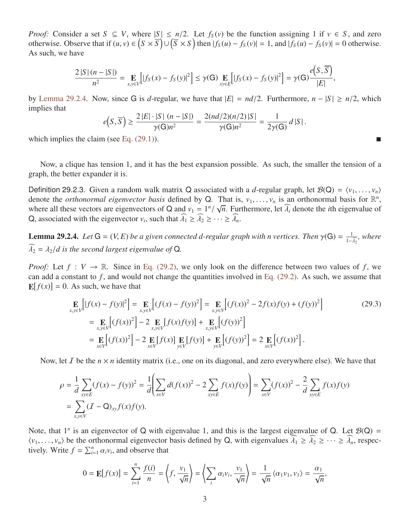*Proof:* Consider a set  $S \subseteq V$ , where  $|S| \le n/2$ . Let  $f_S(v)$  be the function assigning 1 if  $v \in S$ , and zero otherwise. Observe that if  $(u, v) \in (S \times \overline{S}) \cup (\overline{S} \times S)$  then  $|f_S(u) - f_S(v)| = 1$ , and  $|f_S(u) - f_S(v)| = 0$  otherwise. As such, we have

$$
\frac{2\left|S\right|(n-\left|S\right|)}{n^2} = \mathop{\mathbf{E}}\limits_{x,y\in V} \Big[ \left|f_S(x) - f_S(y)\right|^2 \Big] \leq \gamma(G) \mathop{\mathbf{E}}\limits_{xy\in E} \Big[ \left|f_S(x) - f_S(y)\right|^2 \Big] = \gamma(G) \frac{e\left(S,\overline{S}\right)}{\left|E\right|},
$$

by [Lemma 29.2.4.](#page-2-0) Now, since G is *d*-regular, we have that  $|E| = nd/2$ . Furthermore,  $n - |S| \ge n/2$ , which implies that

$$
e(S,\overline{S}) \ge \frac{2|E| \cdot |S| \ (n-|S|)}{\gamma(G)n^2} = \frac{2(nd/2)(n/2)|S|}{\gamma(G)n^2} = \frac{1}{2\gamma(G)} d|S|.
$$

which implies the claim (see Eq.  $(29.1)$ ).

Now, a clique has tension 1, and it has the best expansion possible. As such, the smaller the tension of a graph, the better expander it is.

Definition 29.2.3. Given a random walk matrix Q associated with a *d*-regular graph, let  $\mathcal{B}(Q) = \langle v_1, \ldots, v_n \rangle$ denote the *orthonormal eigenvector basis* defined by Q. That is,  $v_1, \ldots, v_n$  is an orthonormal basis for  $\mathbb{R}^n$ , where all these vectors are eigenvectors of Q and  $v_t = 1^n / \sqrt{n}$  Eurthermore, let  $\hat{\lambda}$  denote the *i* where all these vectors are eigenvectors of Q and  $v_1 = 1^n / \sqrt{n}$ . Furthermore, let  $\widehat{\lambda}_i$  denote the *i*th eigenvalue of  $\widehat{\Omega}$  associated with the eigenvector *v*, such that  $\widehat{\lambda}_i > \widehat{\lambda}_i > ... > \widehat{\lambda}_i$ Q, associated with the eigenvector  $v_i$ , such that  $\widehat{\lambda}_1 \ge \widehat{\lambda}_2 \ge \cdots \ge \widehat{\lambda}_n$ .

<span id="page-2-0"></span>**Lemma 29.2.4.** *Let*  $G = (V, E)$  *be a given connected d-regular graph with n vertices. Then*  $\gamma(G) = \frac{1}{1 - \lambda}$  $1-\lambda_2$ *, where*  $\widehat{\lambda}_2 = \lambda_2/d$  is the second largest eigenvalue of Q.

*Proof:* Let  $f: V \to \mathbb{R}$ . Since in [Eq. \(29.2\),](#page-1-0) we only look on the difference between two values of f, we can add a constant to  $f$ , and would not change the quantities involved in [Eq. \(29.2\).](#page-1-0) As such, we assume that  $\mathbf{E}[f(x)] = 0$ . As such, we have that

<span id="page-2-1"></span>
$$
\mathbf{E}_{x,y \in V} \Big[ |f(x) - f(y)|^2 \Big] = \mathbf{E}_{x,y \in V} \Big[ (f(x) - f(y))^2 \Big] = \mathbf{E}_{x,y \in V} \Big[ (f(x))^2 - 2f(x)f(y) + (f(y))^2 \Big]
$$
\n
$$
= \mathbf{E}_{x,y \in V} \Big[ (f(x))^2 \Big] - 2 \mathbf{E}_{x,y \in V} \Big[ f(x)f(y) \Big] + \mathbf{E}_{x,y \in V} \Big[ (f(y))^2 \Big]
$$
\n
$$
= \mathbf{E}_{x \in V} \Big[ (f(x))^2 \Big] - 2 \mathbf{E}_{x \in V} \Big[ f(x) \Big] \mathbf{E}_{y \in V} \Big[ f(y) \Big] + \mathbf{E}_{y \in V} \Big[ (f(y))^2 \Big] = 2 \mathbf{E}_{x \in V} \Big[ (f(x))^2 \Big].
$$
\n(29.3)

Now, let  $I$  be the  $n \times n$  identity matrix (i.e., one on its diagonal, and zero everywhere else). We have that

$$
\rho = \frac{1}{d} \sum_{xy \in E} (f(x) - f(y))^2 = \frac{1}{d} \left( \sum_{x \in V} d(f(x))^2 - 2 \sum_{xy \in E} f(x)f(y) \right) = \sum_{x \in V} (f(x))^2 - \frac{2}{d} \sum_{xy \in E} f(x)f(y)
$$
  
= 
$$
\sum_{x,y \in V} (I - Q)_{xy} f(x)f(y).
$$

Note, that  $1^n$  is an eigenvector of Q with eigenvalue 1, and this is the largest eigenvalue of Q. Let  $\mathcal{B}(Q)$  =  $\langle v_1, \ldots, v_n \rangle$  be the orthonormal eigenvector basis defined by Q, with eigenvalues  $\widehat{\lambda}_1 \geq \widehat{\lambda}_2 \geq \cdots \geq \widehat{\lambda}_n$ , respectively. Write  $f = \sum_{i=1}^{n} \alpha_i v_i$ , and observe that

$$
0 = \mathbb{E}[f(x)] = \sum_{i=1}^{n} \frac{f(i)}{n} = \left\langle f, \frac{v_1}{\sqrt{n}} \right\rangle = \left\langle \sum_{i} \alpha_i v_i, \frac{v_1}{\sqrt{n}} \right\rangle = \frac{1}{\sqrt{n}} \left\langle \alpha_1 v_1, v_1 \right\rangle = \frac{\alpha_1}{\sqrt{n}},
$$